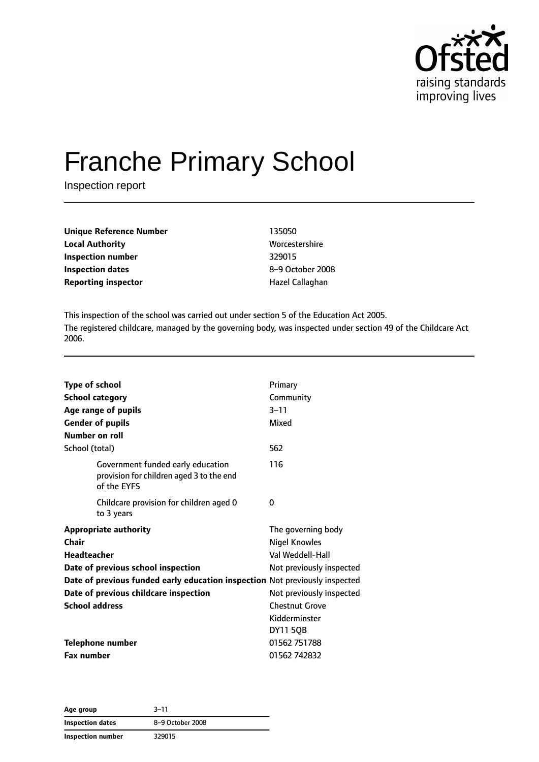

# Franche Primary School

Inspection report

| Unique Reference Number    | 135050        |
|----------------------------|---------------|
| <b>Local Authority</b>     | <b>Worces</b> |
| Inspection number          | 329015        |
| Inspection dates           | $8 - 9$ Oct   |
| <b>Reporting inspector</b> | Hazel C       |

**Worcestershire Inspection dates** 8–9 October 2008 **Hazel Callaghan** 

This inspection of the school was carried out under section 5 of the Education Act 2005. The registered childcare, managed by the governing body, was inspected under section 49 of the Childcare Act 2006.

| <b>Type of school</b><br><b>School category</b><br>Age range of pupils<br><b>Gender of pupils</b><br>Number on roll                                                                                                       | Primary<br>Community<br>$3 - 11$<br>Mixed                                                                              |
|---------------------------------------------------------------------------------------------------------------------------------------------------------------------------------------------------------------------------|------------------------------------------------------------------------------------------------------------------------|
| School (total)                                                                                                                                                                                                            | 562                                                                                                                    |
| Government funded early education<br>provision for children aged 3 to the end<br>of the EYFS                                                                                                                              | 116                                                                                                                    |
| Childcare provision for children aged 0<br>to 3 years                                                                                                                                                                     | 0                                                                                                                      |
| <b>Appropriate authority</b><br>Chair<br><b>Headteacher</b><br>Date of previous school inspection<br>Date of previous funded early education inspection Not previously inspected<br>Date of previous childcare inspection | The governing body<br><b>Nigel Knowles</b><br>Val Weddell-Hall<br>Not previously inspected<br>Not previously inspected |
| <b>School address</b>                                                                                                                                                                                                     | <b>Chestnut Grove</b><br>Kidderminster<br><b>DY11 5QB</b>                                                              |
| <b>Telephone number</b>                                                                                                                                                                                                   | 01562 751788                                                                                                           |
| <b>Fax number</b>                                                                                                                                                                                                         | 01562 742832                                                                                                           |

**Age group** 3–11 **Inspection dates** 8–9 October 2008 **Inspection number** 329015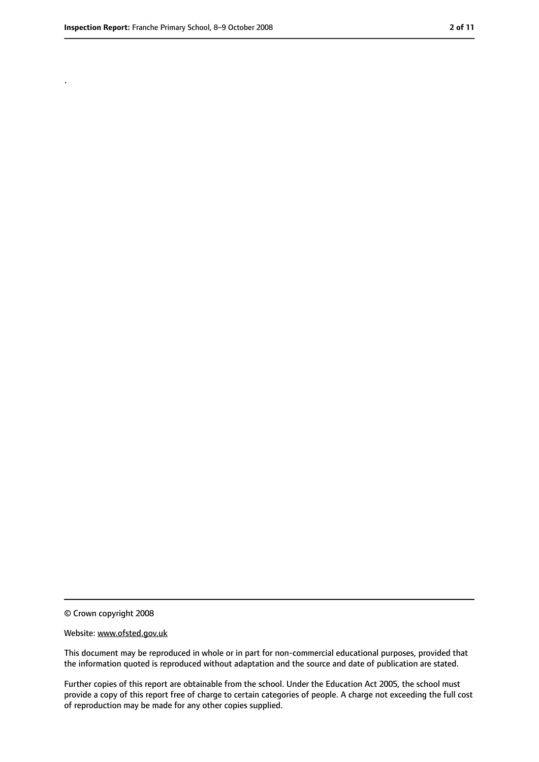.

<sup>©</sup> Crown copyright 2008

Website: www.ofsted.gov.uk

This document may be reproduced in whole or in part for non-commercial educational purposes, provided that the information quoted is reproduced without adaptation and the source and date of publication are stated.

Further copies of this report are obtainable from the school. Under the Education Act 2005, the school must provide a copy of this report free of charge to certain categories of people. A charge not exceeding the full cost of reproduction may be made for any other copies supplied.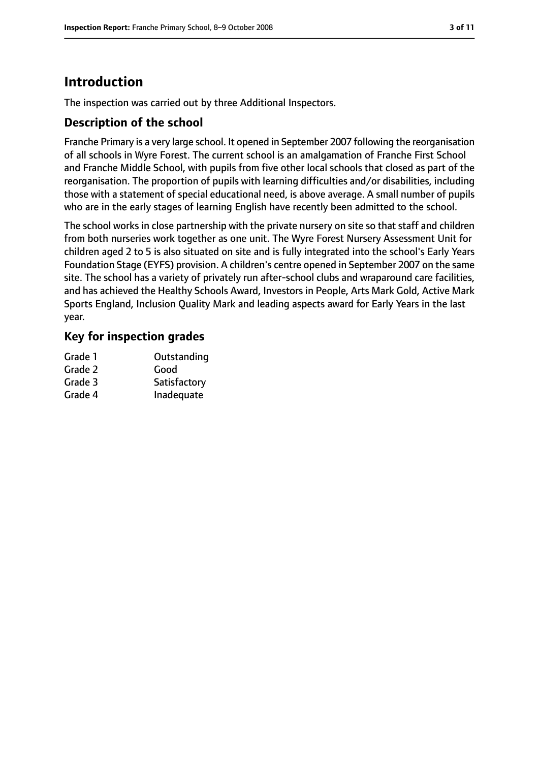# **Introduction**

The inspection was carried out by three Additional Inspectors.

#### **Description of the school**

Franche Primary is a very large school. It opened in September 2007 following the reorganisation of all schools in Wyre Forest. The current school is an amalgamation of Franche First School and Franche Middle School, with pupils from five other local schools that closed as part of the reorganisation. The proportion of pupils with learning difficulties and/or disabilities, including those with a statement of special educational need, is above average. A small number of pupils who are in the early stages of learning English have recently been admitted to the school.

The school works in close partnership with the private nursery on site so that staff and children from both nurseries work together as one unit. The Wyre Forest Nursery Assessment Unit for children aged 2 to 5 is also situated on site and is fully integrated into the school's Early Years Foundation Stage (EYFS) provision. A children's centre opened in September 2007 on the same site. The school has a variety of privately run after-school clubs and wraparound care facilities, and has achieved the Healthy Schools Award, Investors in People, Arts Mark Gold, Active Mark Sports England, Inclusion Quality Mark and leading aspects award for Early Years in the last year.

#### **Key for inspection grades**

| Grade 1 | Outstanding  |
|---------|--------------|
| Grade 2 | Good         |
| Grade 3 | Satisfactory |
| Grade 4 | Inadequate   |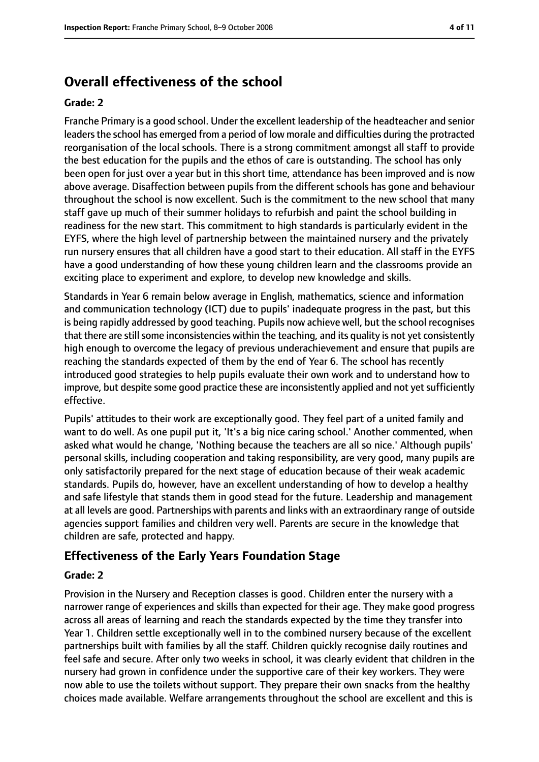# **Overall effectiveness of the school**

#### **Grade: 2**

Franche Primary is a good school. Under the excellent leadership of the headteacher and senior leaders the school has emerged from a period of low morale and difficulties during the protracted reorganisation of the local schools. There is a strong commitment amongst all staff to provide the best education for the pupils and the ethos of care is outstanding. The school has only been open for just over a year but in this short time, attendance has been improved and is now above average. Disaffection between pupils from the different schools has gone and behaviour throughout the school is now excellent. Such is the commitment to the new school that many staff gave up much of their summer holidays to refurbish and paint the school building in readiness for the new start. This commitment to high standards is particularly evident in the EYFS, where the high level of partnership between the maintained nursery and the privately run nursery ensures that all children have a good start to their education. All staff in the EYFS have a good understanding of how these young children learn and the classrooms provide an exciting place to experiment and explore, to develop new knowledge and skills.

Standards in Year 6 remain below average in English, mathematics, science and information and communication technology (ICT) due to pupils' inadequate progress in the past, but this is being rapidly addressed by good teaching. Pupils now achieve well, but the school recognises that there are still some inconsistencies within the teaching, and its quality is not yet consistently high enough to overcome the legacy of previous underachievement and ensure that pupils are reaching the standards expected of them by the end of Year 6. The school has recently introduced good strategies to help pupils evaluate their own work and to understand how to improve, but despite some good practice these are inconsistently applied and not yet sufficiently effective.

Pupils' attitudes to their work are exceptionally good. They feel part of a united family and want to do well. As one pupil put it, 'It's a big nice caring school.' Another commented, when asked what would he change, 'Nothing because the teachers are all so nice.' Although pupils' personal skills, including cooperation and taking responsibility, are very good, many pupils are only satisfactorily prepared for the next stage of education because of their weak academic standards. Pupils do, however, have an excellent understanding of how to develop a healthy and safe lifestyle that stands them in good stead for the future. Leadership and management at all levels are good. Partnerships with parents and links with an extraordinary range of outside agencies support families and children very well. Parents are secure in the knowledge that children are safe, protected and happy.

## **Effectiveness of the Early Years Foundation Stage**

#### **Grade: 2**

Provision in the Nursery and Reception classes is good. Children enter the nursery with a narrower range of experiences and skills than expected for their age. They make good progress across all areas of learning and reach the standards expected by the time they transfer into Year 1. Children settle exceptionally well in to the combined nursery because of the excellent partnerships built with families by all the staff. Children quickly recognise daily routines and feel safe and secure. After only two weeks in school, it was clearly evident that children in the nursery had grown in confidence under the supportive care of their key workers. They were now able to use the toilets without support. They prepare their own snacks from the healthy choices made available. Welfare arrangements throughout the school are excellent and this is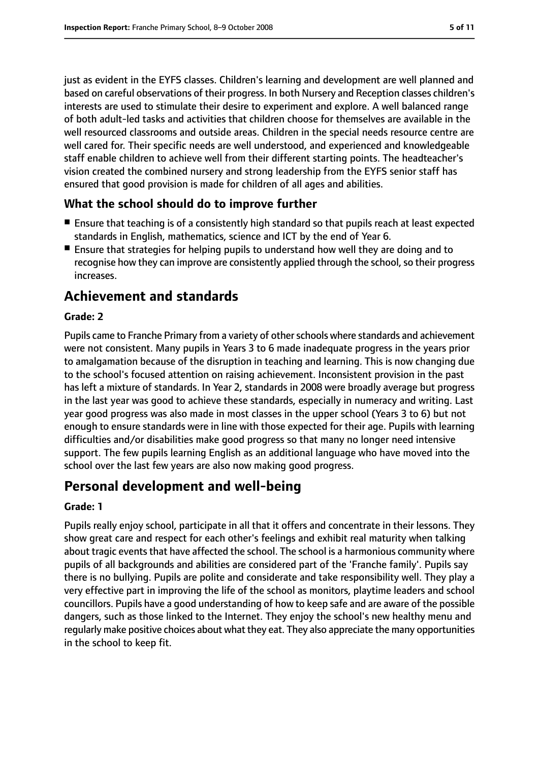just as evident in the EYFS classes. Children's learning and development are well planned and based on careful observations of their progress. In both Nursery and Reception classes children's interests are used to stimulate their desire to experiment and explore. A well balanced range of both adult-led tasks and activities that children choose for themselves are available in the well resourced classrooms and outside areas. Children in the special needs resource centre are well cared for. Their specific needs are well understood, and experienced and knowledgeable staff enable children to achieve well from their different starting points. The headteacher's vision created the combined nursery and strong leadership from the EYFS senior staff has ensured that good provision is made for children of all ages and abilities.

### **What the school should do to improve further**

- Ensure that teaching is of a consistently high standard so that pupils reach at least expected standards in English, mathematics, science and ICT by the end of Year 6.
- Ensure that strategies for helping pupils to understand how well they are doing and to recognise how they can improve are consistently applied through the school, so their progress increases.

# **Achievement and standards**

#### **Grade: 2**

Pupils came to Franche Primary from a variety of other schools where standards and achievement were not consistent. Many pupils in Years 3 to 6 made inadequate progress in the years prior to amalgamation because of the disruption in teaching and learning. This is now changing due to the school's focused attention on raising achievement. Inconsistent provision in the past has left a mixture of standards. In Year 2, standards in 2008 were broadly average but progress in the last year was good to achieve these standards, especially in numeracy and writing. Last year good progress was also made in most classes in the upper school (Years 3 to 6) but not enough to ensure standards were in line with those expected for their age. Pupils with learning difficulties and/or disabilities make good progress so that many no longer need intensive support. The few pupils learning English as an additional language who have moved into the school over the last few years are also now making good progress.

# **Personal development and well-being**

#### **Grade: 1**

Pupils really enjoy school, participate in all that it offers and concentrate in their lessons. They show great care and respect for each other's feelings and exhibit real maturity when talking about tragic events that have affected the school. The school is a harmonious community where pupils of all backgrounds and abilities are considered part of the 'Franche family'. Pupils say there is no bullying. Pupils are polite and considerate and take responsibility well. They play a very effective part in improving the life of the school as monitors, playtime leaders and school councillors. Pupils have a good understanding of how to keep safe and are aware of the possible dangers, such as those linked to the Internet. They enjoy the school's new healthy menu and regularly make positive choices about what they eat. They also appreciate the many opportunities in the school to keep fit.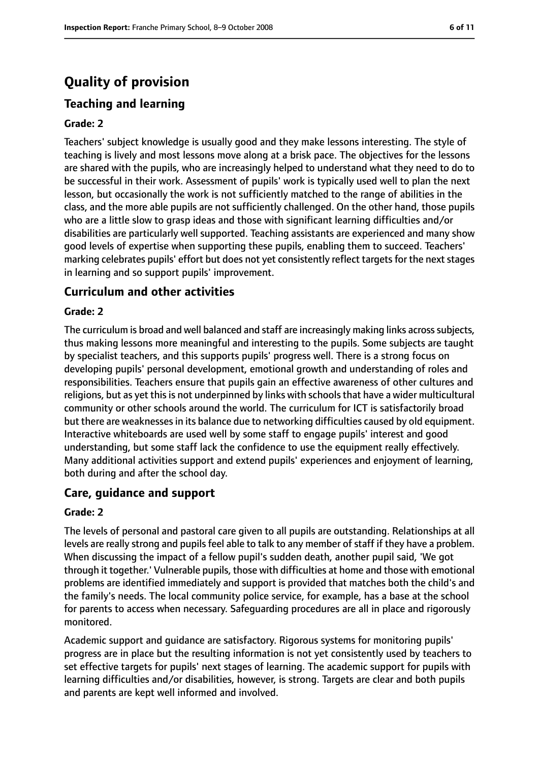# **Quality of provision**

## **Teaching and learning**

#### **Grade: 2**

Teachers' subject knowledge is usually good and they make lessons interesting. The style of teaching is lively and most lessons move along at a brisk pace. The objectives for the lessons are shared with the pupils, who are increasingly helped to understand what they need to do to be successful in their work. Assessment of pupils' work is typically used well to plan the next lesson, but occasionally the work is not sufficiently matched to the range of abilities in the class, and the more able pupils are not sufficiently challenged. On the other hand, those pupils who are a little slow to grasp ideas and those with significant learning difficulties and/or disabilities are particularly well supported. Teaching assistants are experienced and many show good levels of expertise when supporting these pupils, enabling them to succeed. Teachers' marking celebrates pupils' effort but does not yet consistently reflect targets for the next stages in learning and so support pupils' improvement.

#### **Curriculum and other activities**

#### **Grade: 2**

The curriculum is broad and well balanced and staff are increasingly making links acrosssubjects, thus making lessons more meaningful and interesting to the pupils. Some subjects are taught by specialist teachers, and this supports pupils' progress well. There is a strong focus on developing pupils' personal development, emotional growth and understanding of roles and responsibilities. Teachers ensure that pupils gain an effective awareness of other cultures and religions, but as yet this is not underpinned by links with schools that have a wider multicultural community or other schools around the world. The curriculum for ICT is satisfactorily broad but there are weaknessesin its balance due to networking difficulties caused by old equipment. Interactive whiteboards are used well by some staff to engage pupils' interest and good understanding, but some staff lack the confidence to use the equipment really effectively. Many additional activities support and extend pupils' experiences and enjoyment of learning, both during and after the school day.

#### **Care, guidance and support**

#### **Grade: 2**

The levels of personal and pastoral care given to all pupils are outstanding. Relationships at all levels are really strong and pupils feel able to talk to any member of staff if they have a problem. When discussing the impact of a fellow pupil's sudden death, another pupil said, 'We got through it together.' Vulnerable pupils, those with difficulties at home and those with emotional problems are identified immediately and support is provided that matches both the child's and the family's needs. The local community police service, for example, has a base at the school for parents to access when necessary. Safeguarding procedures are all in place and rigorously monitored.

Academic support and guidance are satisfactory. Rigorous systems for monitoring pupils' progress are in place but the resulting information is not yet consistently used by teachers to set effective targets for pupils' next stages of learning. The academic support for pupils with learning difficulties and/or disabilities, however, is strong. Targets are clear and both pupils and parents are kept well informed and involved.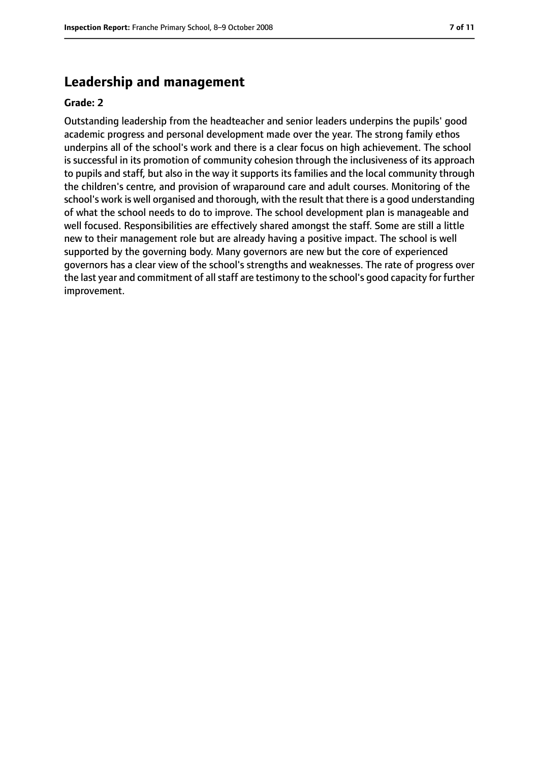## **Leadership and management**

#### **Grade: 2**

Outstanding leadership from the headteacher and senior leaders underpins the pupils' good academic progress and personal development made over the year. The strong family ethos underpins all of the school's work and there is a clear focus on high achievement. The school is successful in its promotion of community cohesion through the inclusiveness of its approach to pupils and staff, but also in the way it supports its families and the local community through the children's centre, and provision of wraparound care and adult courses. Monitoring of the school's work is well organised and thorough, with the result that there is a good understanding of what the school needs to do to improve. The school development plan is manageable and well focused. Responsibilities are effectively shared amongst the staff. Some are still a little new to their management role but are already having a positive impact. The school is well supported by the governing body. Many governors are new but the core of experienced governors has a clear view of the school's strengths and weaknesses. The rate of progress over the last year and commitment of allstaff are testimony to the school's good capacity for further improvement.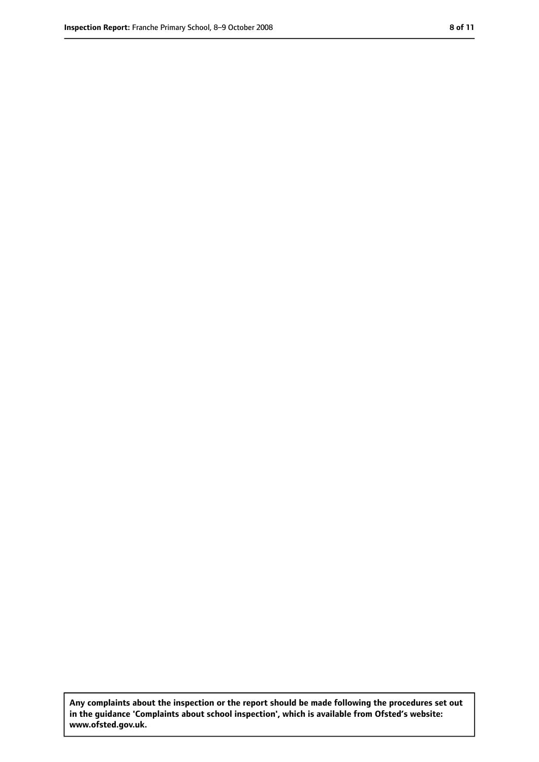**Any complaints about the inspection or the report should be made following the procedures set out in the guidance 'Complaints about school inspection', which is available from Ofsted's website: www.ofsted.gov.uk.**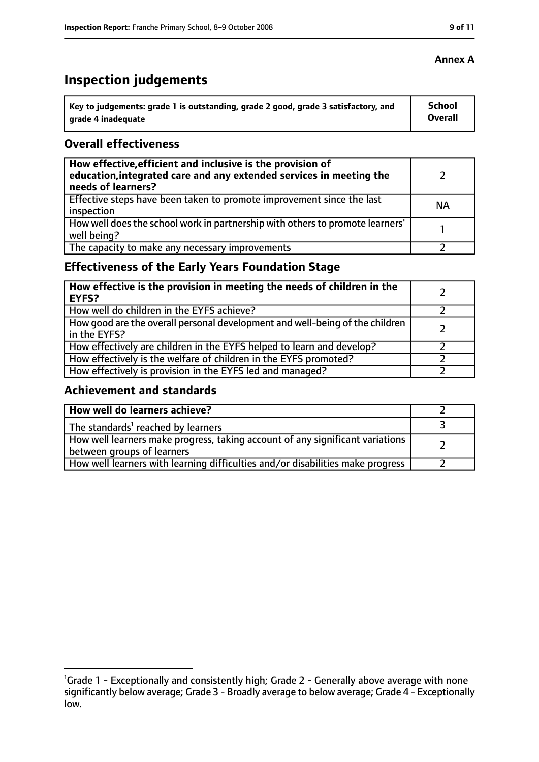# **Inspection judgements**

| ˈ Key to judgements: grade 1 is outstanding, grade 2 good, grade 3 satisfactory, and | <b>School</b>  |
|--------------------------------------------------------------------------------------|----------------|
| arade 4 inadequate                                                                   | <b>Overall</b> |

#### **Overall effectiveness**

| How effective, efficient and inclusive is the provision of<br>education, integrated care and any extended services in meeting the<br>needs of learners? |           |
|---------------------------------------------------------------------------------------------------------------------------------------------------------|-----------|
| Effective steps have been taken to promote improvement since the last<br>inspection                                                                     | <b>NA</b> |
| How well does the school work in partnership with others to promote learners'<br>well being?                                                            |           |
| The capacity to make any necessary improvements                                                                                                         |           |

# **Effectiveness of the Early Years Foundation Stage**

| How effective is the provision in meeting the needs of children in the<br>l EYFS?            |  |
|----------------------------------------------------------------------------------------------|--|
| How well do children in the EYFS achieve?                                                    |  |
| How good are the overall personal development and well-being of the children<br>in the EYFS? |  |
| How effectively are children in the EYFS helped to learn and develop?                        |  |
| How effectively is the welfare of children in the EYFS promoted?                             |  |
| How effectively is provision in the EYFS led and managed?                                    |  |

#### **Achievement and standards**

| How well do learners achieve?                                                                               |  |
|-------------------------------------------------------------------------------------------------------------|--|
| The standards <sup>1</sup> reached by learners                                                              |  |
| How well learners make progress, taking account of any significant variations<br>between groups of learners |  |
| How well learners with learning difficulties and/or disabilities make progress                              |  |

#### **Annex A**

<sup>&</sup>lt;sup>1</sup>Grade 1 - Exceptionally and consistently high; Grade 2 - Generally above average with none significantly below average; Grade 3 - Broadly average to below average; Grade 4 - Exceptionally low.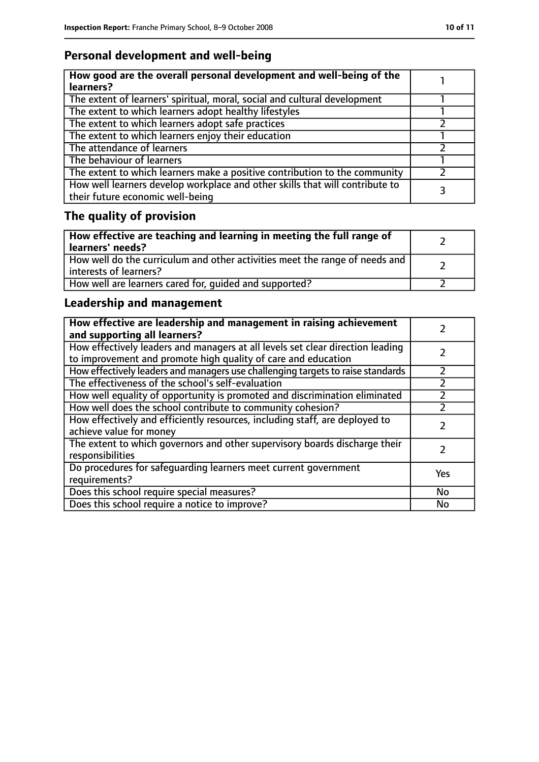# **Personal development and well-being**

| How good are the overall personal development and well-being of the<br>learners?                                 |  |
|------------------------------------------------------------------------------------------------------------------|--|
| The extent of learners' spiritual, moral, social and cultural development                                        |  |
| The extent to which learners adopt healthy lifestyles                                                            |  |
| The extent to which learners adopt safe practices                                                                |  |
| The extent to which learners enjoy their education                                                               |  |
| The attendance of learners                                                                                       |  |
| The behaviour of learners                                                                                        |  |
| The extent to which learners make a positive contribution to the community                                       |  |
| How well learners develop workplace and other skills that will contribute to<br>their future economic well-being |  |

# **The quality of provision**

| How effective are teaching and learning in meeting the full range of<br>learners' needs?              |  |
|-------------------------------------------------------------------------------------------------------|--|
| How well do the curriculum and other activities meet the range of needs and<br>interests of learners? |  |
| How well are learners cared for, quided and supported?                                                |  |

# **Leadership and management**

| How effective are leadership and management in raising achievement<br>and supporting all learners?                                              |     |
|-------------------------------------------------------------------------------------------------------------------------------------------------|-----|
| How effectively leaders and managers at all levels set clear direction leading<br>to improvement and promote high quality of care and education |     |
| How effectively leaders and managers use challenging targets to raise standards                                                                 |     |
| The effectiveness of the school's self-evaluation                                                                                               |     |
| How well equality of opportunity is promoted and discrimination eliminated                                                                      |     |
| How well does the school contribute to community cohesion?                                                                                      |     |
| How effectively and efficiently resources, including staff, are deployed to<br>achieve value for money                                          |     |
| The extent to which governors and other supervisory boards discharge their<br>responsibilities                                                  |     |
| Do procedures for safeguarding learners meet current government<br>requirements?                                                                | Yes |
| Does this school require special measures?                                                                                                      | No  |
| Does this school require a notice to improve?                                                                                                   | No  |